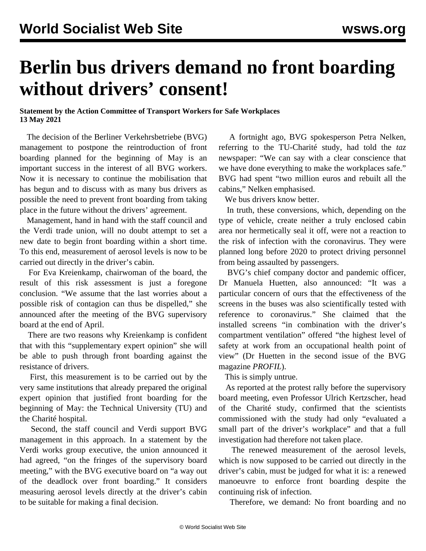## **Berlin bus drivers demand no front boarding without drivers' consent!**

## **Statement by the Action Committee of Transport Workers for Safe Workplaces 13 May 2021**

 The decision of the Berliner Verkehrsbetriebe (BVG) management to postpone the reintroduction of front boarding planned for the beginning of May is an important success in the interest of all BVG workers. Now it is necessary to continue the mobilisation that has begun and to discuss with as many bus drivers as possible the need to prevent front boarding from taking place in the future without the drivers' agreement.

 Management, hand in hand with the staff council and the Verdi trade union, will no doubt attempt to set a new date to begin front boarding within a short time. To this end, measurement of aerosol levels is now to be carried out directly in the driver's cabin.

 For Eva Kreienkamp, chairwoman of the board, the result of this risk assessment is just a foregone conclusion. "We assume that the last worries about a possible risk of contagion can thus be dispelled," she announced after the meeting of the BVG supervisory board at the end of April.

 There are two reasons why Kreienkamp is confident that with this "supplementary expert opinion" she will be able to push through front boarding against the resistance of drivers.

 First, this measurement is to be carried out by the very same institutions that already prepared the original expert opinion that justified front boarding for the beginning of May: the Technical University (TU) and the Charité hospital.

 Second, the staff council and Verdi support BVG management in this approach. In a statement by the Verdi works group executive, the union announced it had agreed, "on the fringes of the supervisory board meeting," with the BVG executive board on "a way out of the deadlock over front boarding." It considers measuring aerosol levels directly at the driver's cabin to be suitable for making a final decision.

 A fortnight ago, BVG spokesperson Petra Nelken, referring to the TU-Charité study, had told the *taz* newspaper: "We can say with a clear conscience that we have done everything to make the workplaces safe." BVG had spent "two million euros and rebuilt all the cabins," Nelken emphasised.

We bus drivers know better.

 In truth, these conversions, which, depending on the type of vehicle, create neither a truly enclosed cabin area nor hermetically seal it off, were not a reaction to the risk of infection with the coronavirus. They were planned long before 2020 to protect driving personnel from being assaulted by passengers.

 BVG's chief company doctor and pandemic officer, Dr Manuela Huetten, also announced: "It was a particular concern of ours that the effectiveness of the screens in the buses was also scientifically tested with reference to coronavirus." She claimed that the installed screens "in combination with the driver's compartment ventilation" offered "the highest level of safety at work from an occupational health point of view" (Dr Huetten in the second issue of the BVG magazine *PROFIL*).

This is simply untrue.

 As reported at the protest rally before the supervisory board meeting, even Professor Ulrich Kertzscher, head of the Charité study, confirmed that the scientists commissioned with the study had only "evaluated a small part of the driver's workplace" and that a full investigation had therefore not taken place.

 The renewed measurement of the aerosol levels, which is now supposed to be carried out directly in the driver's cabin, must be judged for what it is: a renewed manoeuvre to enforce front boarding despite the continuing risk of infection.

Therefore, we demand: No front boarding and no